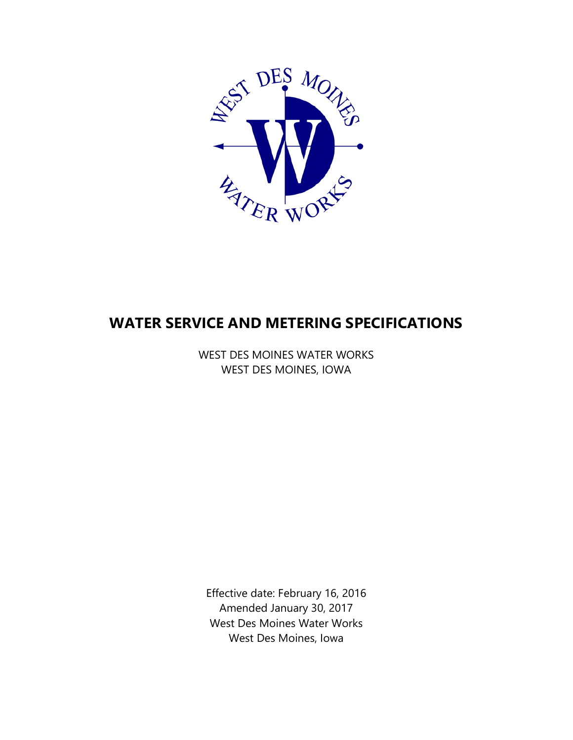

# **WATER SERVICE AND METERING SPECIFICATIONS**

WEST DES MOINES WATER WORKS WEST DES MOINES, IOWA

Effective date: February 16, 2016 Amended January 30, 2017 West Des Moines Water Works West Des Moines, Iowa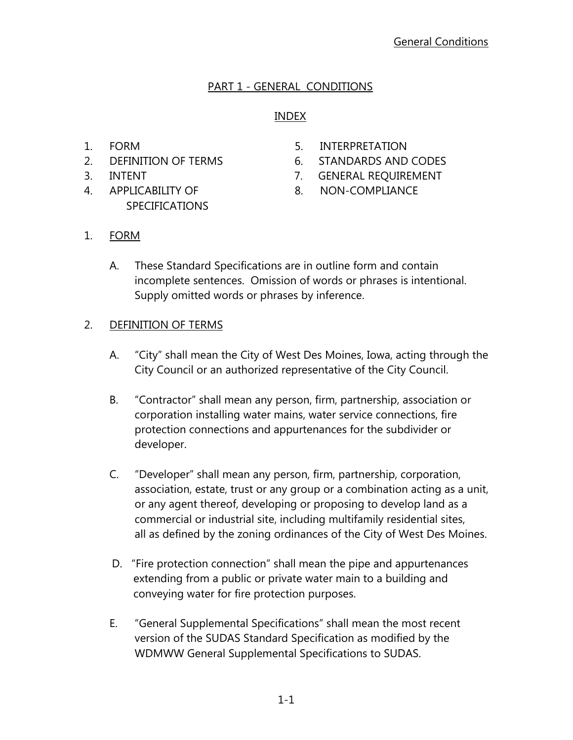## PART 1 - GENERAL CONDITIONS

## INDEX

- 
- 
- 
- 4. APPLICABILITY OF 8. NON-COMPLIANCE **SPECIFICATIONS**
- 1. FORM 5. INTERPRETATION
- 2. DEFINITION OF TERMS 6. STANDARDS AND CODES
- 3. INTENT 7. GENERAL REQUIREMENT
	-

- 1. FORM
	- A. These Standard Specifications are in outline form and contain incomplete sentences. Omission of words or phrases is intentional. Supply omitted words or phrases by inference.

## 2. DEFINITION OF TERMS

- A. "City" shall mean the City of West Des Moines, Iowa, acting through the City Council or an authorized representative of the City Council.
- B. "Contractor" shall mean any person, firm, partnership, association or corporation installing water mains, water service connections, fire protection connections and appurtenances for the subdivider or developer.
- C. "Developer" shall mean any person, firm, partnership, corporation, association, estate, trust or any group or a combination acting as a unit, or any agent thereof, developing or proposing to develop land as a commercial or industrial site, including multifamily residential sites, all as defined by the zoning ordinances of the City of West Des Moines.
- D. "Fire protection connection" shall mean the pipe and appurtenances extending from a public or private water main to a building and conveying water for fire protection purposes.
- E. "General Supplemental Specifications" shall mean the most recent version of the SUDAS Standard Specification as modified by the WDMWW General Supplemental Specifications to SUDAS.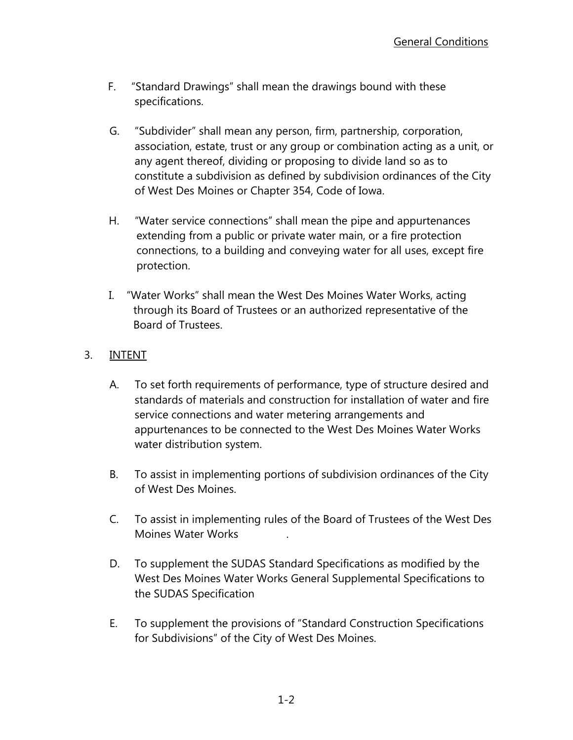- F. "Standard Drawings" shall mean the drawings bound with these specifications.
- G. "Subdivider" shall mean any person, firm, partnership, corporation, association, estate, trust or any group or combination acting as a unit, or any agent thereof, dividing or proposing to divide land so as to constitute a subdivision as defined by subdivision ordinances of the City of West Des Moines or Chapter 354, Code of Iowa.
- H. "Water service connections" shall mean the pipe and appurtenances extending from a public or private water main, or a fire protection connections, to a building and conveying water for all uses, except fire protection.
- I. "Water Works" shall mean the West Des Moines Water Works, acting through its Board of Trustees or an authorized representative of the Board of Trustees.

## 3. INTENT

- A. To set forth requirements of performance, type of structure desired and standards of materials and construction for installation of water and fire service connections and water metering arrangements and appurtenances to be connected to the West Des Moines Water Works water distribution system.
- B. To assist in implementing portions of subdivision ordinances of the City of West Des Moines.
- C. To assist in implementing rules of the Board of Trustees of the West Des Moines Water Works .
- D. To supplement the SUDAS Standard Specifications as modified by the West Des Moines Water Works General Supplemental Specifications to the SUDAS Specification
- E. To supplement the provisions of "Standard Construction Specifications for Subdivisions" of the City of West Des Moines.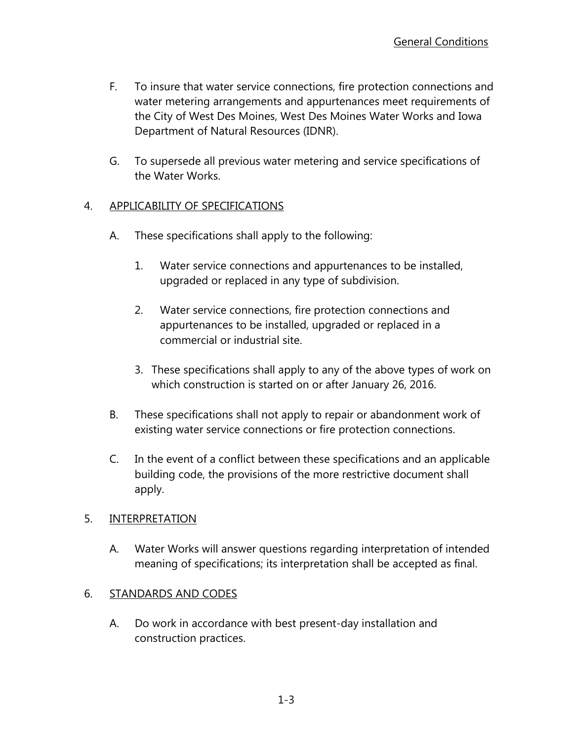- F. To insure that water service connections, fire protection connections and water metering arrangements and appurtenances meet requirements of the City of West Des Moines, West Des Moines Water Works and Iowa Department of Natural Resources (IDNR).
- G. To supersede all previous water metering and service specifications of the Water Works.

## 4. APPLICABILITY OF SPECIFICATIONS

- A. These specifications shall apply to the following:
	- 1. Water service connections and appurtenances to be installed, upgraded or replaced in any type of subdivision.
	- 2. Water service connections, fire protection connections and appurtenances to be installed, upgraded or replaced in a commercial or industrial site.
	- 3. These specifications shall apply to any of the above types of work on which construction is started on or after January 26, 2016.
- B. These specifications shall not apply to repair or abandonment work of existing water service connections or fire protection connections.
- C. In the event of a conflict between these specifications and an applicable building code, the provisions of the more restrictive document shall apply.

## 5. INTERPRETATION

 A. Water Works will answer questions regarding interpretation of intended meaning of specifications; its interpretation shall be accepted as final.

## 6. STANDARDS AND CODES

 A. Do work in accordance with best present-day installation and construction practices.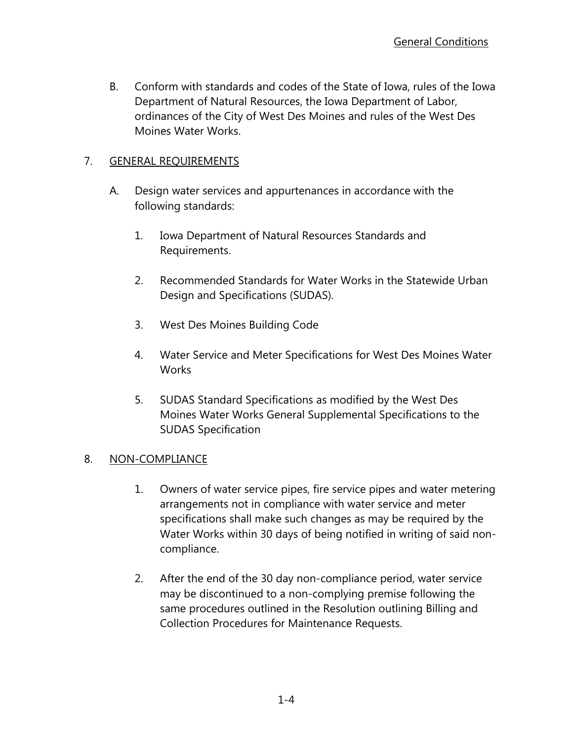B. Conform with standards and codes of the State of Iowa, rules of the Iowa Department of Natural Resources, the Iowa Department of Labor, ordinances of the City of West Des Moines and rules of the West Des Moines Water Works.

## 7. GENERAL REQUIREMENTS

- A. Design water services and appurtenances in accordance with the following standards:
	- 1. Iowa Department of Natural Resources Standards and Requirements.
	- 2. Recommended Standards for Water Works in the Statewide Urban Design and Specifications (SUDAS).
	- 3. West Des Moines Building Code
	- 4. Water Service and Meter Specifications for West Des Moines Water **Works**
	- 5. SUDAS Standard Specifications as modified by the West Des Moines Water Works General Supplemental Specifications to the SUDAS Specification

## 8. NON-COMPLIANCE

- 1. Owners of water service pipes, fire service pipes and water metering arrangements not in compliance with water service and meter specifications shall make such changes as may be required by the Water Works within 30 days of being notified in writing of said noncompliance.
- 2. After the end of the 30 day non-compliance period, water service may be discontinued to a non-complying premise following the same procedures outlined in the Resolution outlining Billing and Collection Procedures for Maintenance Requests.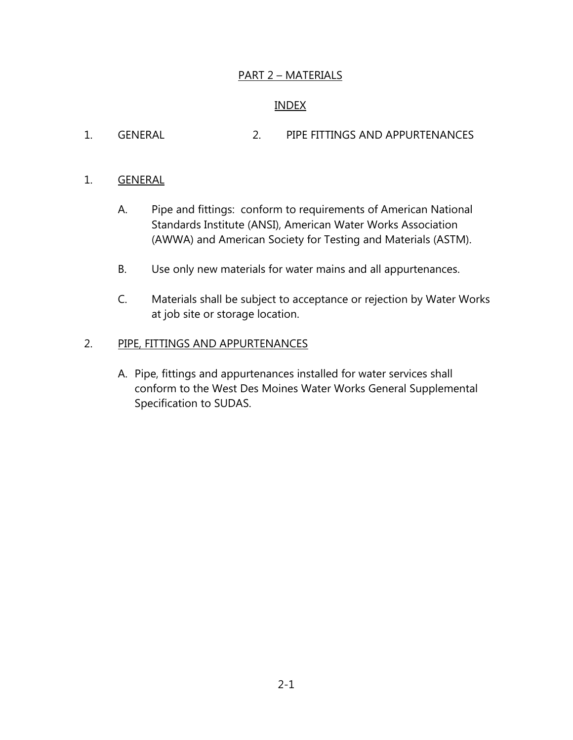## PART 2 – MATERIALS

#### INDEX

1. GENERAL 2. PIPE FITTINGS AND APPURTENANCES

#### 1. GENERAL

- A. Pipe and fittings: conform to requirements of American National Standards Institute (ANSI), American Water Works Association (AWWA) and American Society for Testing and Materials (ASTM).
- B. Use only new materials for water mains and all appurtenances.
- C. Materials shall be subject to acceptance or rejection by Water Works at job site or storage location.

#### 2. PIPE, FITTINGS AND APPURTENANCES

A. Pipe, fittings and appurtenances installed for water services shall conform to the West Des Moines Water Works General Supplemental Specification to SUDAS.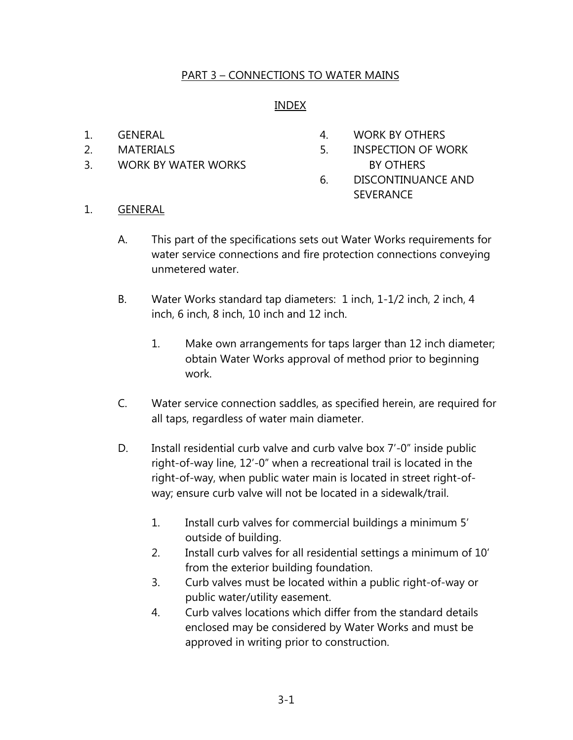## PART 3 – CONNECTIONS TO WATER MAINS

### INDEX

- 
- 
- 3. WORK BY WATER WORKS BY OTHERS
- 1. GENERAL 1. GENERAL 1. A WORK BY OTHERS
- 2. MATERIALS 5. INSPECTION OF WORK
	- 6. DISCONTINUANCE AND SEVERANCE
- 1. GENERAL
	- A. This part of the specifications sets out Water Works requirements for water service connections and fire protection connections conveying unmetered water.
	- B. Water Works standard tap diameters: 1 inch, 1-1/2 inch, 2 inch, 4 inch, 6 inch, 8 inch, 10 inch and 12 inch.
		- 1. Make own arrangements for taps larger than 12 inch diameter; obtain Water Works approval of method prior to beginning work.
	- C. Water service connection saddles, as specified herein, are required for all taps, regardless of water main diameter.
	- D. Install residential curb valve and curb valve box 7'-0" inside public right-of-way line, 12'-0" when a recreational trail is located in the right-of-way, when public water main is located in street right-ofway; ensure curb valve will not be located in a sidewalk/trail.
		- 1. Install curb valves for commercial buildings a minimum 5' outside of building.
		- 2. Install curb valves for all residential settings a minimum of 10' from the exterior building foundation.
		- 3. Curb valves must be located within a public right-of-way or public water/utility easement.
		- 4. Curb valves locations which differ from the standard details enclosed may be considered by Water Works and must be approved in writing prior to construction.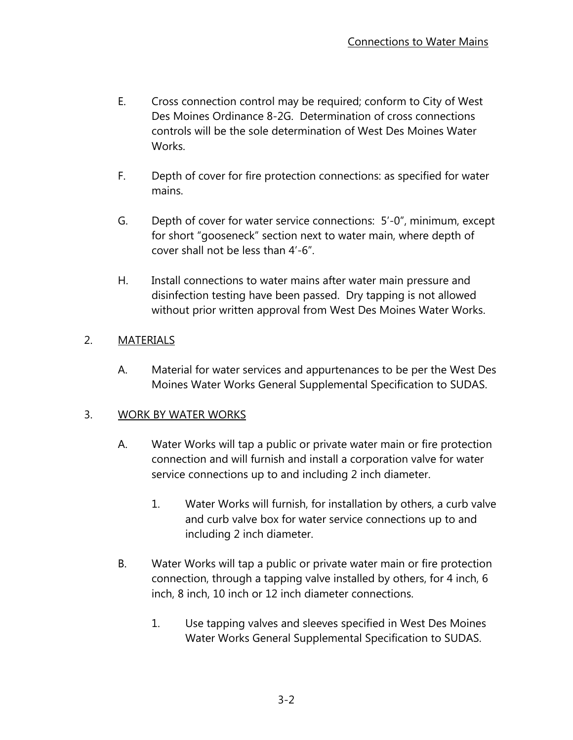- E. Cross connection control may be required; conform to City of West Des Moines Ordinance 8-2G. Determination of cross connections controls will be the sole determination of West Des Moines Water Works.
- F. Depth of cover for fire protection connections: as specified for water mains.
- G. Depth of cover for water service connections: 5'-0", minimum, except for short "gooseneck" section next to water main, where depth of cover shall not be less than 4'-6".
- H. Install connections to water mains after water main pressure and disinfection testing have been passed. Dry tapping is not allowed without prior written approval from West Des Moines Water Works.

## 2. MATERIALS

A. Material for water services and appurtenances to be per the West Des Moines Water Works General Supplemental Specification to SUDAS.

## 3. WORK BY WATER WORKS

- A. Water Works will tap a public or private water main or fire protection connection and will furnish and install a corporation valve for water service connections up to and including 2 inch diameter.
	- 1. Water Works will furnish, for installation by others, a curb valve and curb valve box for water service connections up to and including 2 inch diameter.
- B. Water Works will tap a public or private water main or fire protection connection, through a tapping valve installed by others, for 4 inch, 6 inch, 8 inch, 10 inch or 12 inch diameter connections.
	- 1. Use tapping valves and sleeves specified in West Des Moines Water Works General Supplemental Specification to SUDAS.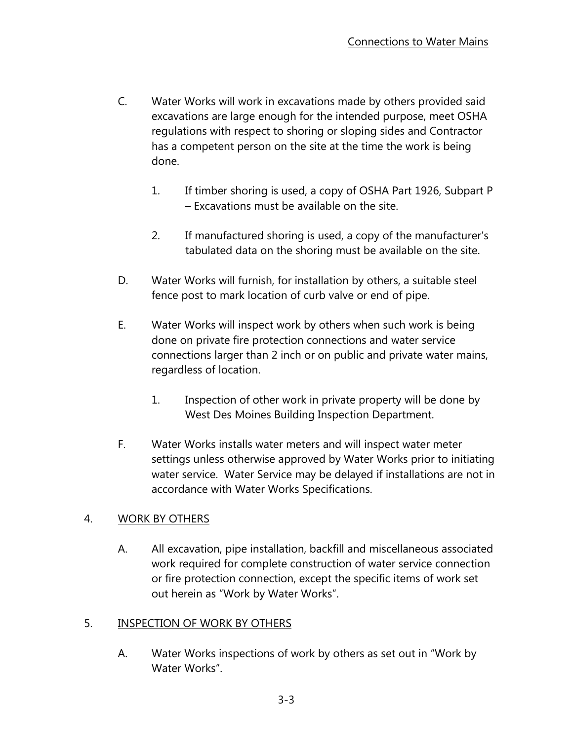- C. Water Works will work in excavations made by others provided said excavations are large enough for the intended purpose, meet OSHA regulations with respect to shoring or sloping sides and Contractor has a competent person on the site at the time the work is being done.
	- 1. If timber shoring is used, a copy of OSHA Part 1926, Subpart P – Excavations must be available on the site.
	- 2. If manufactured shoring is used, a copy of the manufacturer's tabulated data on the shoring must be available on the site.
- D. Water Works will furnish, for installation by others, a suitable steel fence post to mark location of curb valve or end of pipe.
- E. Water Works will inspect work by others when such work is being done on private fire protection connections and water service connections larger than 2 inch or on public and private water mains, regardless of location.
	- 1. Inspection of other work in private property will be done by West Des Moines Building Inspection Department.
- F. Water Works installs water meters and will inspect water meter settings unless otherwise approved by Water Works prior to initiating water service. Water Service may be delayed if installations are not in accordance with Water Works Specifications.

## 4. WORK BY OTHERS

A. All excavation, pipe installation, backfill and miscellaneous associated work required for complete construction of water service connection or fire protection connection, except the specific items of work set out herein as "Work by Water Works".

## 5. INSPECTION OF WORK BY OTHERS

A. Water Works inspections of work by others as set out in "Work by Water Works".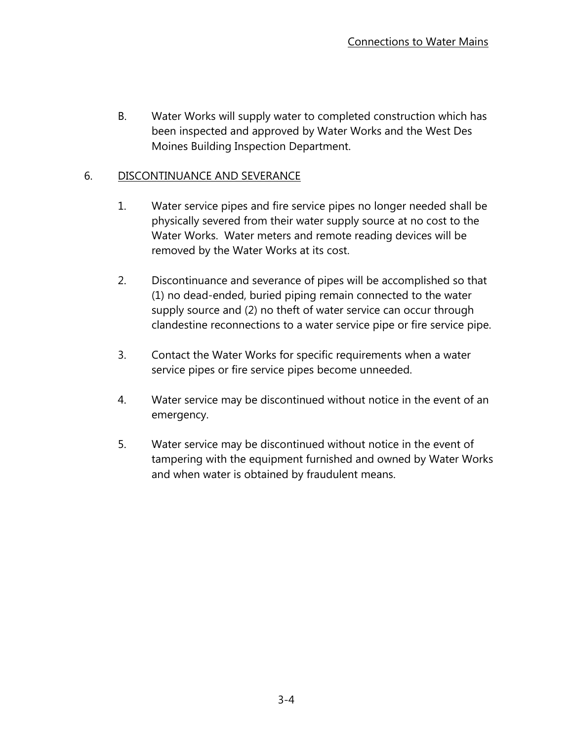B. Water Works will supply water to completed construction which has been inspected and approved by Water Works and the West Des Moines Building Inspection Department.

## 6. DISCONTINUANCE AND SEVERANCE

- 1. Water service pipes and fire service pipes no longer needed shall be physically severed from their water supply source at no cost to the Water Works. Water meters and remote reading devices will be removed by the Water Works at its cost.
- 2. Discontinuance and severance of pipes will be accomplished so that (1) no dead-ended, buried piping remain connected to the water supply source and (2) no theft of water service can occur through clandestine reconnections to a water service pipe or fire service pipe.
- 3. Contact the Water Works for specific requirements when a water service pipes or fire service pipes become unneeded.
- 4. Water service may be discontinued without notice in the event of an emergency.
- 5. Water service may be discontinued without notice in the event of tampering with the equipment furnished and owned by Water Works and when water is obtained by fraudulent means.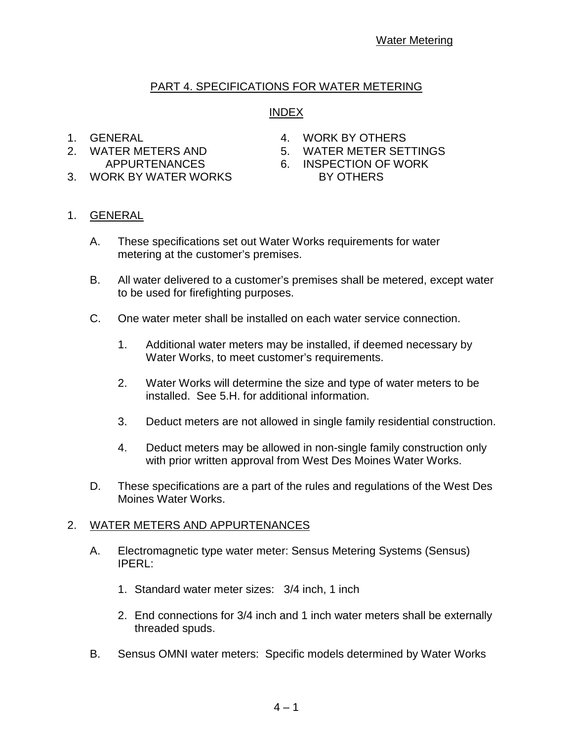## PART 4. SPECIFICATIONS FOR WATER METERING

## INDEX

- 1. GENERAL 4. WORK BY OTHERS
- 2. WATER METERS AND 5. WATER METER SETTINGS
	-
	- APPURTENANCES 6. INSPECTION OF WORK
- 3. WORK BY WATER WORKS BY OTHERS
- 

- 1. GENERAL
	- A. These specifications set out Water Works requirements for water metering at the customer's premises.
	- B. All water delivered to a customer's premises shall be metered, except water to be used for firefighting purposes.
	- C. One water meter shall be installed on each water service connection.
		- 1. Additional water meters may be installed, if deemed necessary by Water Works, to meet customer's requirements.
		- 2. Water Works will determine the size and type of water meters to be installed. See 5.H. for additional information.
		- 3. Deduct meters are not allowed in single family residential construction.
		- 4. Deduct meters may be allowed in non-single family construction only with prior written approval from West Des Moines Water Works.
	- D. These specifications are a part of the rules and regulations of the West Des Moines Water Works.

#### 2. WATER METERS AND APPURTENANCES

- A. Electromagnetic type water meter: Sensus Metering Systems (Sensus) IPERL:
	- 1. Standard water meter sizes: 3/4 inch, 1 inch
	- 2. End connections for 3/4 inch and 1 inch water meters shall be externally threaded spuds.
- B. Sensus OMNI water meters: Specific models determined by Water Works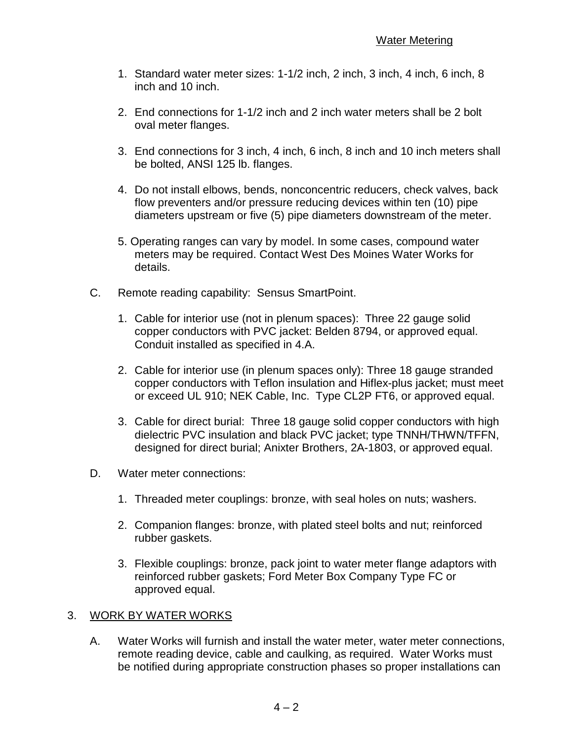- 1. Standard water meter sizes: 1-1/2 inch, 2 inch, 3 inch, 4 inch, 6 inch, 8 inch and 10 inch.
- 2. End connections for 1-1/2 inch and 2 inch water meters shall be 2 bolt oval meter flanges.
- 3. End connections for 3 inch, 4 inch, 6 inch, 8 inch and 10 inch meters shall be bolted, ANSI 125 lb. flanges.
- 4. Do not install elbows, bends, nonconcentric reducers, check valves, back flow preventers and/or pressure reducing devices within ten (10) pipe diameters upstream or five (5) pipe diameters downstream of the meter.
- 5. Operating ranges can vary by model. In some cases, compound water meters may be required. Contact West Des Moines Water Works for details.
- C. Remote reading capability: Sensus SmartPoint.
	- 1. Cable for interior use (not in plenum spaces): Three 22 gauge solid copper conductors with PVC jacket: Belden 8794, or approved equal. Conduit installed as specified in 4.A.
	- 2. Cable for interior use (in plenum spaces only): Three 18 gauge stranded copper conductors with Teflon insulation and Hiflex-plus jacket; must meet or exceed UL 910; NEK Cable, Inc. Type CL2P FT6, or approved equal.
	- 3. Cable for direct burial: Three 18 gauge solid copper conductors with high dielectric PVC insulation and black PVC jacket; type TNNH/THWN/TFFN, designed for direct burial; Anixter Brothers, 2A-1803, or approved equal.
- D. Water meter connections:
	- 1. Threaded meter couplings: bronze, with seal holes on nuts; washers.
	- 2. Companion flanges: bronze, with plated steel bolts and nut; reinforced rubber gaskets.
	- 3. Flexible couplings: bronze, pack joint to water meter flange adaptors with reinforced rubber gaskets; Ford Meter Box Company Type FC or approved equal.

#### 3. WORK BY WATER WORKS

A. Water Works will furnish and install the water meter, water meter connections, remote reading device, cable and caulking, as required. Water Works must be notified during appropriate construction phases so proper installations can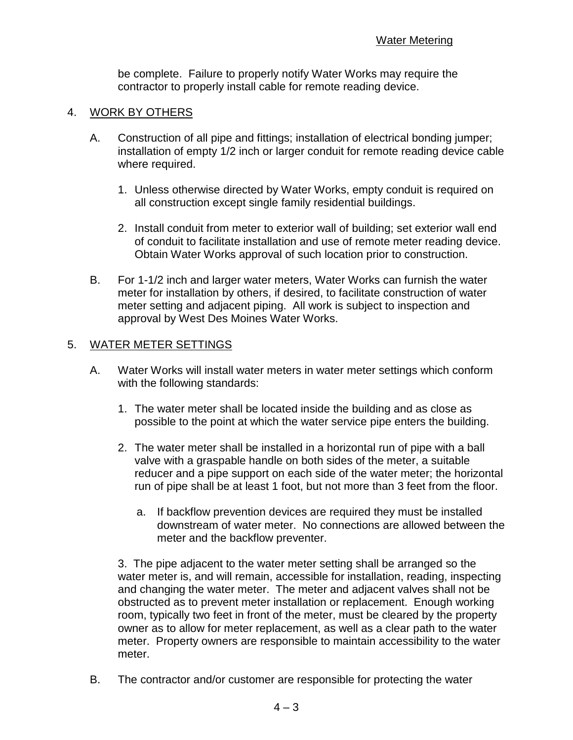be complete. Failure to properly notify Water Works may require the contractor to properly install cable for remote reading device.

#### 4. WORK BY OTHERS

- A. Construction of all pipe and fittings; installation of electrical bonding jumper; installation of empty 1/2 inch or larger conduit for remote reading device cable where required.
	- 1. Unless otherwise directed by Water Works, empty conduit is required on all construction except single family residential buildings.
	- 2. Install conduit from meter to exterior wall of building; set exterior wall end of conduit to facilitate installation and use of remote meter reading device. Obtain Water Works approval of such location prior to construction.
- B. For 1-1/2 inch and larger water meters, Water Works can furnish the water meter for installation by others, if desired, to facilitate construction of water meter setting and adjacent piping. All work is subject to inspection and approval by West Des Moines Water Works.

#### 5. WATER METER SETTINGS

- A. Water Works will install water meters in water meter settings which conform with the following standards:
	- 1. The water meter shall be located inside the building and as close as possible to the point at which the water service pipe enters the building.
	- 2. The water meter shall be installed in a horizontal run of pipe with a ball valve with a graspable handle on both sides of the meter, a suitable reducer and a pipe support on each side of the water meter; the horizontal run of pipe shall be at least 1 foot, but not more than 3 feet from the floor.
		- a. If backflow prevention devices are required they must be installed downstream of water meter. No connections are allowed between the meter and the backflow preventer.

3. The pipe adjacent to the water meter setting shall be arranged so the water meter is, and will remain, accessible for installation, reading, inspecting and changing the water meter. The meter and adjacent valves shall not be obstructed as to prevent meter installation or replacement. Enough working room, typically two feet in front of the meter, must be cleared by the property owner as to allow for meter replacement, as well as a clear path to the water meter. Property owners are responsible to maintain accessibility to the water meter.

B. The contractor and/or customer are responsible for protecting the water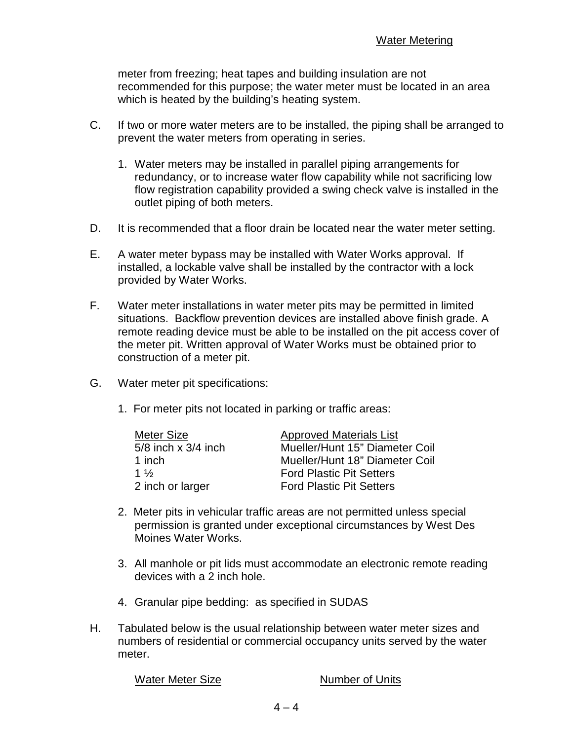meter from freezing; heat tapes and building insulation are not recommended for this purpose; the water meter must be located in an area which is heated by the building's heating system.

- C. If two or more water meters are to be installed, the piping shall be arranged to prevent the water meters from operating in series.
	- 1. Water meters may be installed in parallel piping arrangements for redundancy, or to increase water flow capability while not sacrificing low flow registration capability provided a swing check valve is installed in the outlet piping of both meters.
- D. It is recommended that a floor drain be located near the water meter setting.
- E. A water meter bypass may be installed with Water Works approval. If installed, a lockable valve shall be installed by the contractor with a lock provided by Water Works.
- F. Water meter installations in water meter pits may be permitted in limited situations. Backflow prevention devices are installed above finish grade. A remote reading device must be able to be installed on the pit access cover of the meter pit. Written approval of Water Works must be obtained prior to construction of a meter pit.
- G. Water meter pit specifications:
	- 1. For meter pits not located in parking or traffic areas:

| <b>Meter Size</b>       | <b>Approved Materials List</b>  |
|-------------------------|---------------------------------|
| $5/8$ inch x $3/4$ inch | Mueller/Hunt 15" Diameter Coil  |
| 1 inch                  | Mueller/Hunt 18" Diameter Coil  |
| 1 $\frac{1}{2}$         | <b>Ford Plastic Pit Setters</b> |
| 2 inch or larger        | <b>Ford Plastic Pit Setters</b> |

- 2. Meter pits in vehicular traffic areas are not permitted unless special permission is granted under exceptional circumstances by West Des Moines Water Works.
- 3. All manhole or pit lids must accommodate an electronic remote reading devices with a 2 inch hole.
- 4. Granular pipe bedding: as specified in SUDAS
- H. Tabulated below is the usual relationship between water meter sizes and numbers of residential or commercial occupancy units served by the water meter.

Water Meter Size Number of Units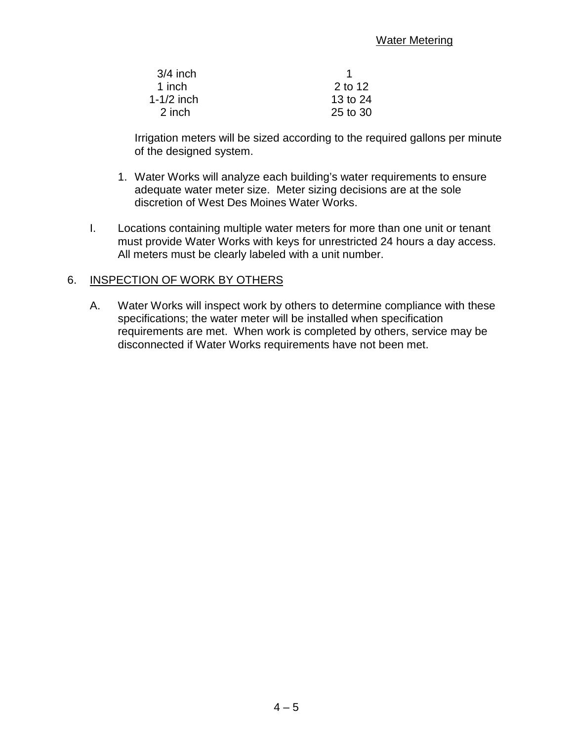| $3/4$ inch |          |
|------------|----------|
| 1 inch     | 2 to 12  |
| 1-1/2 inch | 13 to 24 |
| 2 inch     | 25 to 30 |

Irrigation meters will be sized according to the required gallons per minute of the designed system.

- 1. Water Works will analyze each building's water requirements to ensure adequate water meter size. Meter sizing decisions are at the sole discretion of West Des Moines Water Works.
- I. Locations containing multiple water meters for more than one unit or tenant must provide Water Works with keys for unrestricted 24 hours a day access. All meters must be clearly labeled with a unit number.

#### 6. INSPECTION OF WORK BY OTHERS

A. Water Works will inspect work by others to determine compliance with these specifications; the water meter will be installed when specification requirements are met. When work is completed by others, service may be disconnected if Water Works requirements have not been met.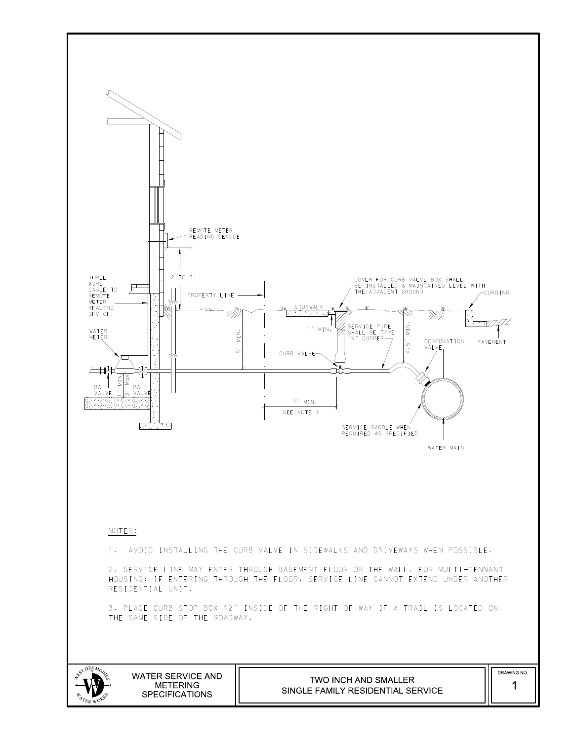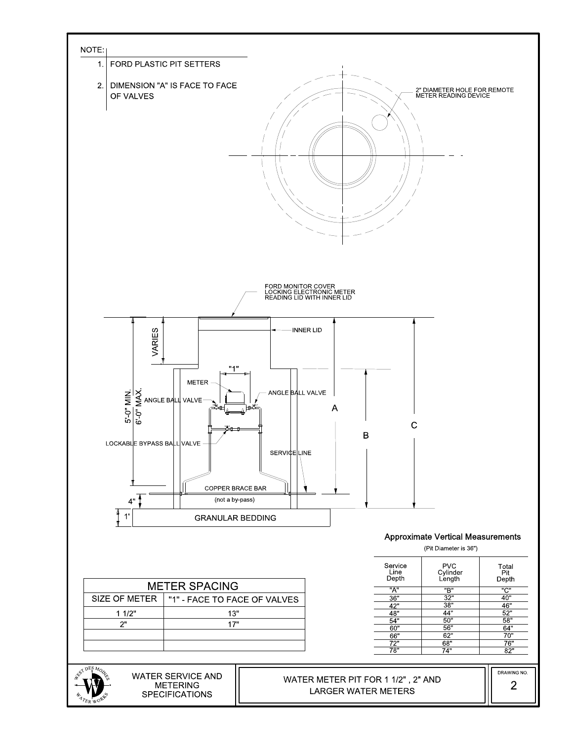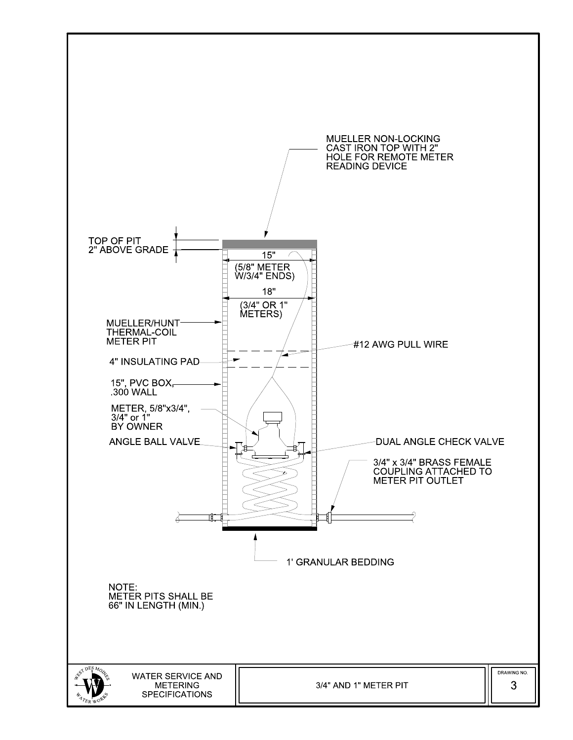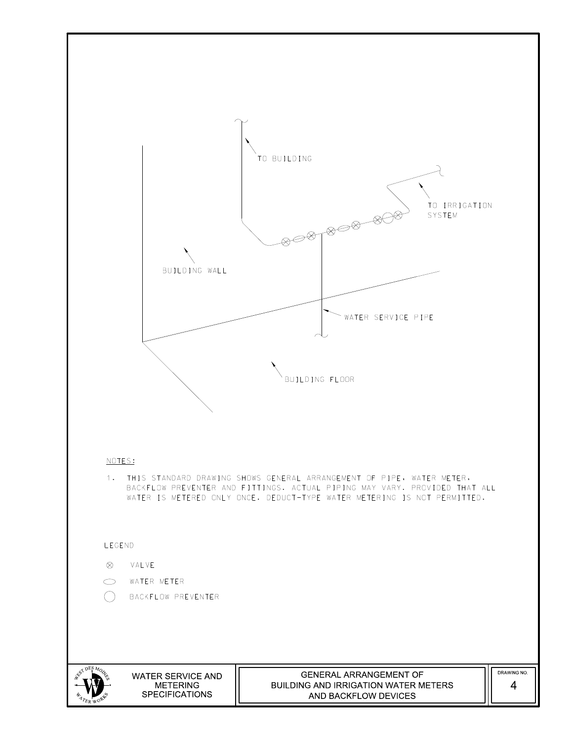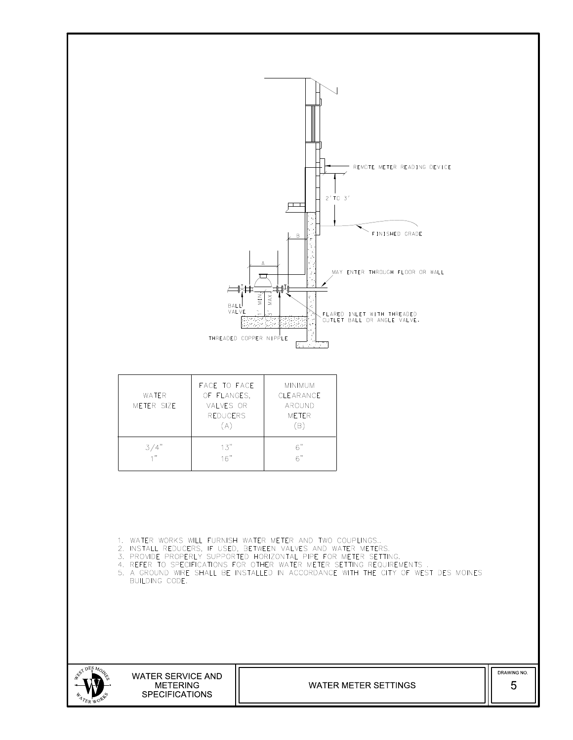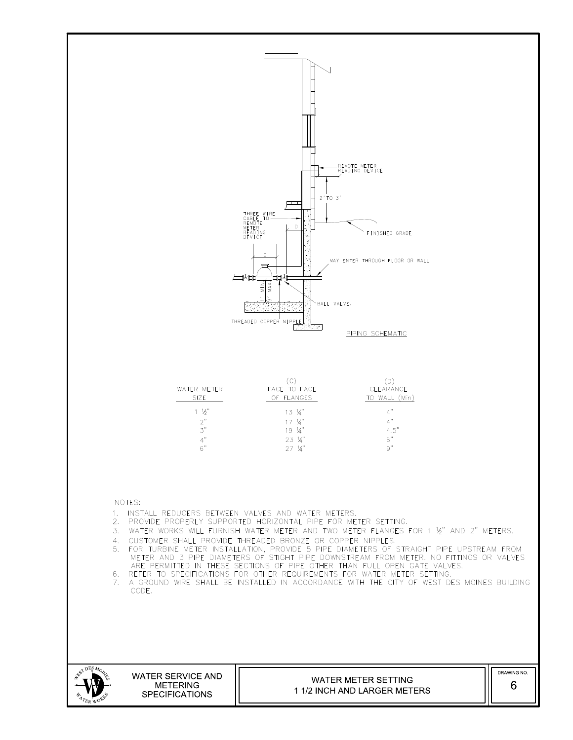

S<br>NG  $p_{ESM_O}$ EST. WSRK. <sup>E</sup>R<sup>W</sup> O  ${}^4\!$ W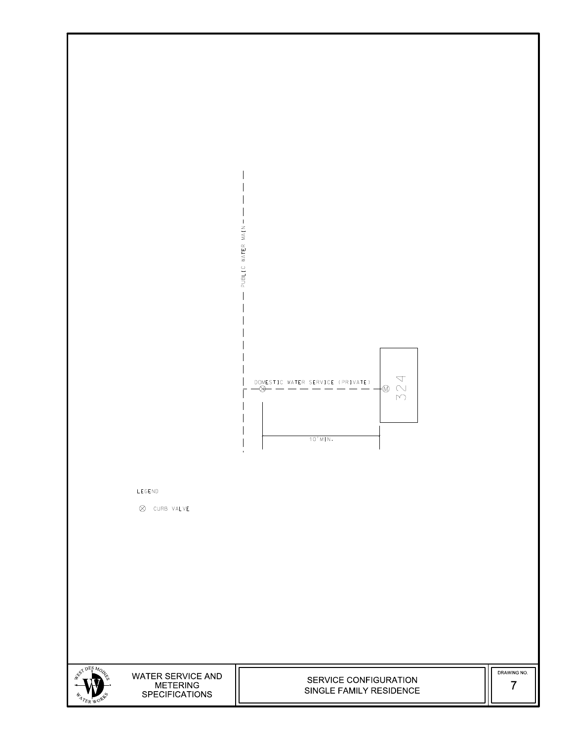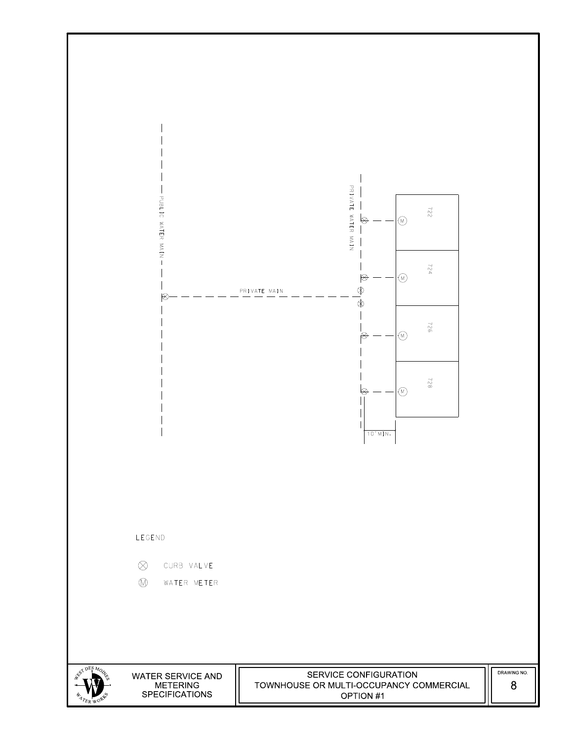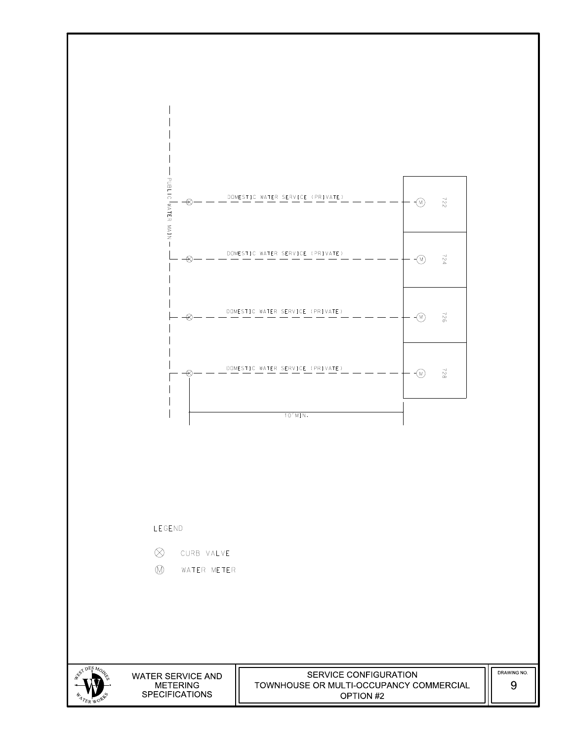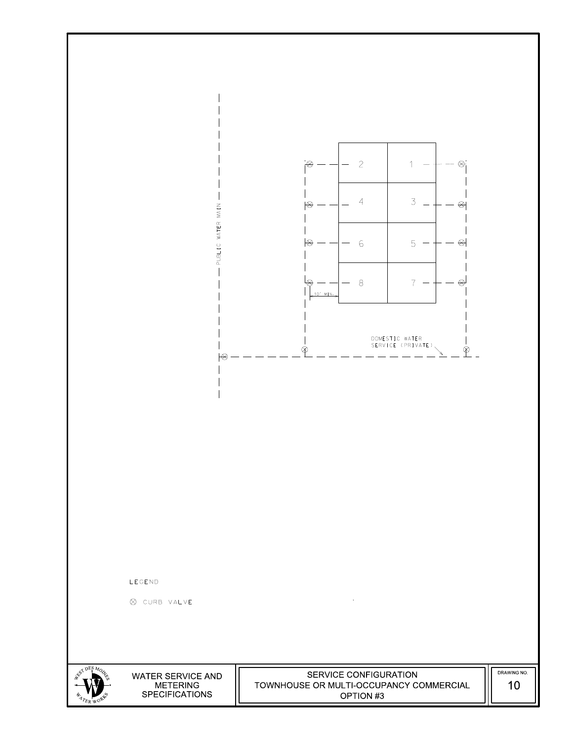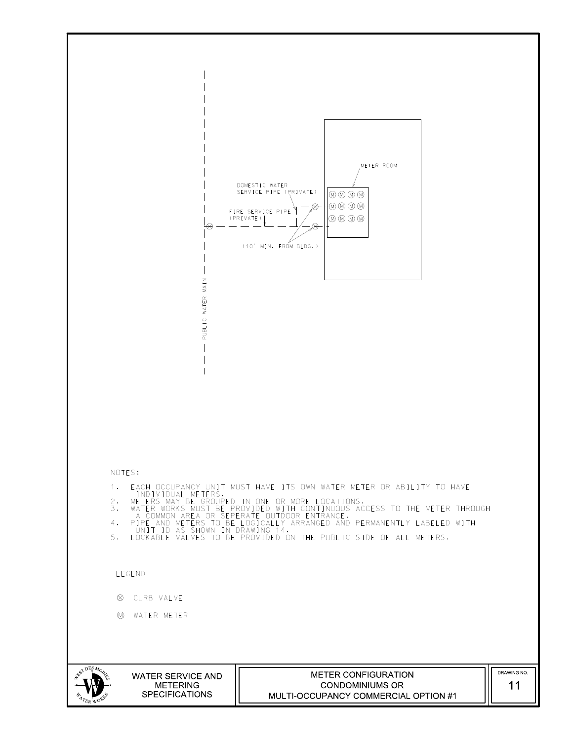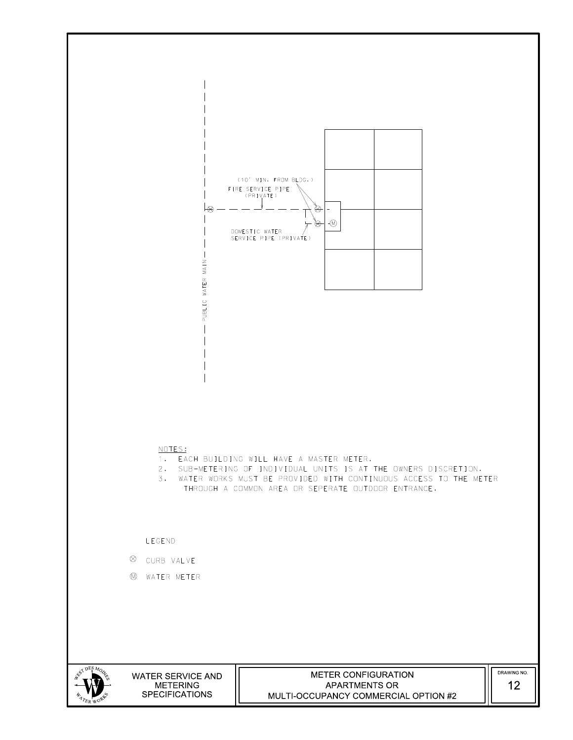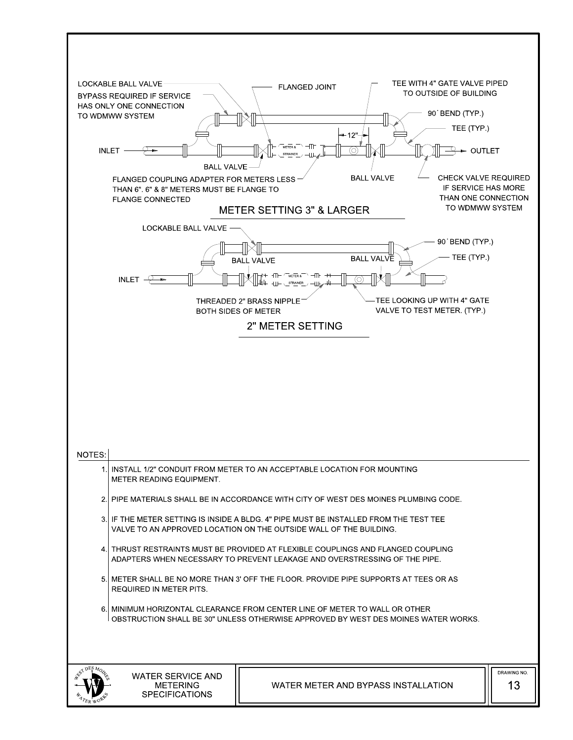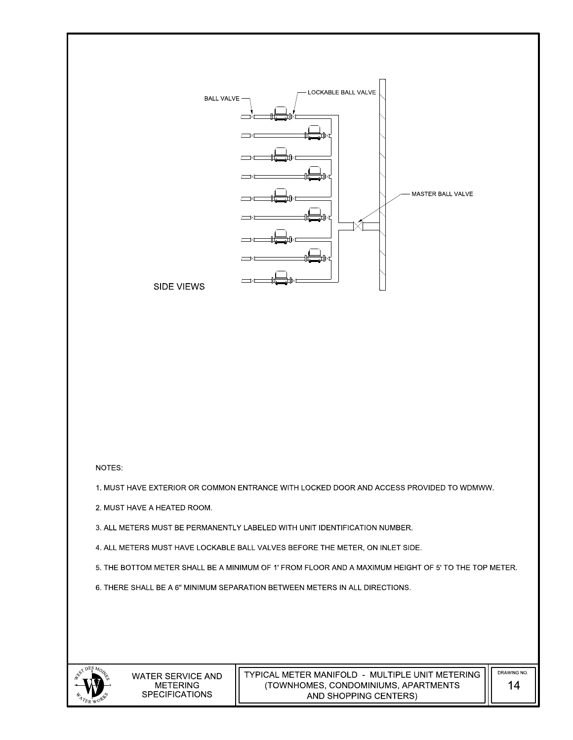

SIDE VIEWS

#### NOTES:

1. MUST HAVE EXTERIOR OR COMMON ENTRANCE WITH LOCKED DOOR AND ACCESS PROVIDED TO WDMWW.

2. MUST HAVE A HEATED ROOM.

3. ALL METERS MUST BE PERMANENTLY LABELED WITH UNIT IDENTIFICATION NUMBER.

4. ALL METERS MUST HAVE LOCKABLE BALL VALVES BEFORE THE METER, ON INLET SIDE.

5. THE BOTTOM METER SHALL BE A MINIMUM OF 1' FROM FLOOR AND A MAXIMUM HEIGHT OF 5' TO THE TOP METER.

6. THERE SHALL BE A 6" MINIMUM SEPARATION BETWEEN METERS IN ALL DIRECTIONS.